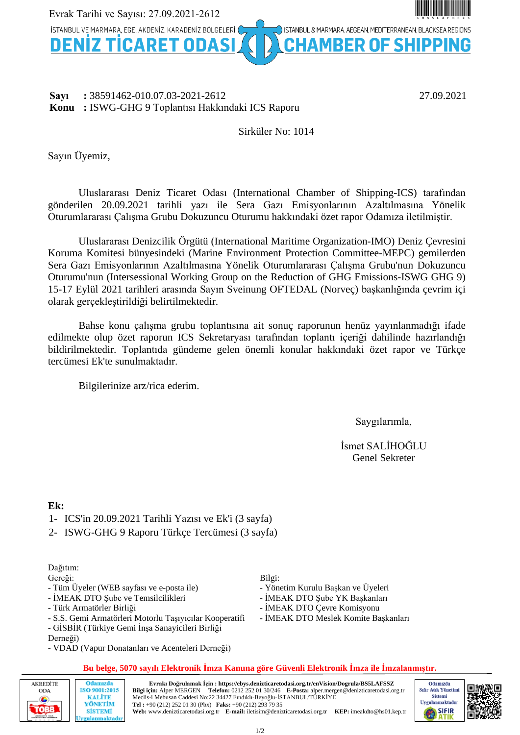

#### **Sayı :** 38591462-010.07.03-2021-2612 27.09.2021 **Konu :** ISWG-GHG 9 Toplantısı Hakkındaki ICS Raporu

#### Sirküler No: 1014

Sayın Üyemiz,

Uluslararası Deniz Ticaret Odası (International Chamber of Shipping-ICS) tarafından gönderilen 20.09.2021 tarihli yazı ile Sera Gazı Emisyonlarının Azaltılmasına Yönelik Oturumlararası Çalışma Grubu Dokuzuncu Oturumu hakkındaki özet rapor Odamıza iletilmiştir.

Uluslararası Denizcilik Örgütü (International Maritime Organization-IMO) Deniz Çevresini Koruma Komitesi bünyesindeki (Marine Environment Protection Committee-MEPC) gemilerden Sera Gazı Emisyonlarının Azaltılmasına Yönelik Oturumlararası Çalışma Grubu'nun Dokuzuncu Oturumu'nun (Intersessional Working Group on the Reduction of GHG Emissions-ISWG GHG 9) 15-17 Eylül 2021 tarihleri arasında Sayın Sveinung OFTEDAL (Norveç) başkanlığında çevrim içi olarak gerçekleştirildiği belirtilmektedir.

Bahse konu çalışma grubu toplantısına ait sonuç raporunun henüz yayınlanmadığı ifade edilmekte olup özet raporun ICS Sekretaryası tarafından toplantı içeriği dahilinde hazırlandığı bildirilmektedir. Toplantıda gündeme gelen önemli konular hakkındaki özet rapor ve Türkçe tercümesi Ek'te sunulmaktadır.

Bilgilerinize arz/rica ederim.

Saygılarımla,

İsmet SALİHOĞLU Genel Sekreter

#### **Ek:**

- 1- ICS'in 20.09.2021 Tarihli Yazısı ve Ek'i (3 sayfa)
- 2- ISWG-GHG 9 Raporu Türkçe Tercümesi (3 sayfa)

### Dağıtım:

Gereği:

- Tüm Üyeler (WEB sayfası ve e-posta ile)
- İMEAK DTO Şube ve Temsilcilikleri
- Türk Armatörler Birliği

Odamızda

ISO 9001:2015 **KALİTE** 

YÖNETİM

**SİSTEMİ** rulanmaktadı

- S.S. Gemi Armatörleri Motorlu Taşıyıcılar Kooperatifi
- GİSBİR (Türkiye Gemi İnşa Sanayicileri Birliği Derneği)
- VDAD (Vapur Donatanları ve Acenteleri Derneği)

Bilgi:

- Yönetim Kurulu Başkan ve Üyeleri
- İMEAK DTO Şube YK Başkanları
- İMEAK DTO Çevre Komisyonu
- İMEAK DTO Meslek Komite Başkanları

#### **Bu belge, 5070 sayılı Elektronik İmza Kanuna göre Güvenli Elektronik İmza ile İmzalanmıştır.**



**Evrakı Doğrulamak İçin : https://ebys.denizticaretodasi.org.tr/enVision/Dogrula/BS5LAFSSZ** Telefon: 0212 252 01 30/246 **E-Posta:** alper.mergen@denizticaretodasi.org.tr Meclis-i Mebusan Caddesi No:22 34427 Fındıklı-Beyoğlu-İSTANBUL/TÜRKİYE **Tel :** +90 (212) 252 01 30 (Pbx) **Faks:** +90 (212) 293 79 35 **Web:** www.denizticaretodasi.org.tr **E-mail:** iletisim@denizticaretodasi.org.tr **KEP:** imeakdto@hs01.kep.tr

1/2

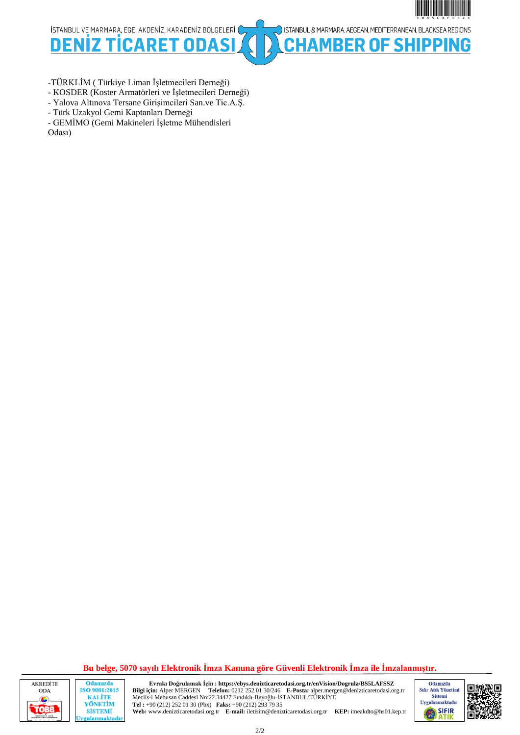\*BS5LAFSSZ\*\*BS5LAFSSZ\*\*BS5LAFSSZ\*\*BS5LAFSSZ\*\*BS5LAFSSZ\*\*BS5LAFSSZ\*\*BS5LAFSSZ\*\*BS5LAFSSZ\*\*BS5LAFSSZ\*\*BS5LAFSSZ\*

ISTANBUL & MARMARA, AEGEAN, MEDITERRANEAN, BLACKSEA REGIONS

**BER OF SHIPPING** 

İSTANBUL VE MARMARA, EGE, AKDENİZ, KARADENİZ BÖLGELERİ (

**DENIZ** D FТ n

-TÜRKLİM ( Türkiye Liman İşletmecileri Derneği)

- KOSDER (Koster Armatörleri ve İşletmecileri Derneği)
- Yalova Altınova Tersane Girişimcileri San.ve Tic.A.Ş.
- Türk Uzakyol Gemi Kaptanları Derneği

- GEMİMO (Gemi Makineleri İşletme Mühendisleri Odası)

**Bu belge, 5070 sayılı Elektronik İmza Kanuna göre Güvenli Elektronik İmza ile İmzalanmıştır.**



Odamızda ISO 9001:2015 **KALITE** YÖNETİM **SİSTEMİ** gulanmaktadı **Evrakı Doğrulamak İçin : https://ebys.denizticaretodasi.org.tr/enVision/Dogrula/BS5LAFSSZ** Telefon: 0212 252 01 30/246 **E-Posta:** alper.mergen@denizticaretodasi.org.tr Meclis-i Mebusan Caddesi No:22 34427 Fındıklı-Beyoğlu-İSTANBUL/TÜRKİYE **Tel :** +90 (212) 252 01 30 (Pbx) **Faks:** +90 (212) 293 79 35 **Web:** www.denizticaretodasi.org.tr **E-mail:** iletisim@denizticaretodasi.org.tr **KEP:** imeakdto@hs01.kep.tr



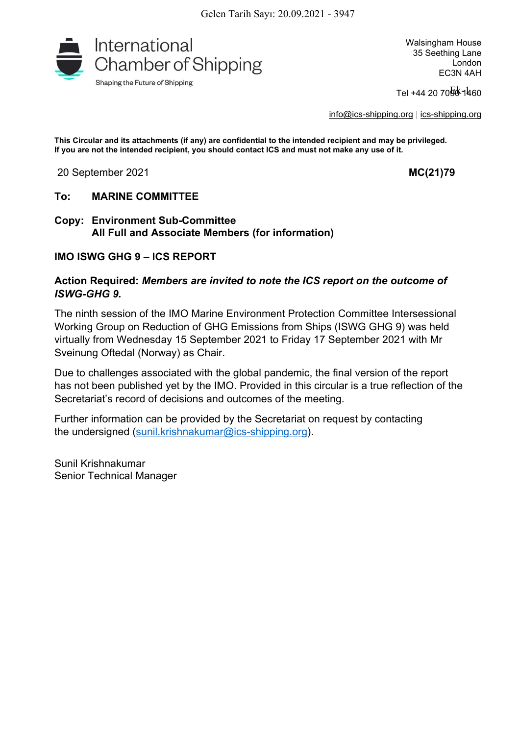

Tel +44 20 70<mark>5</mark>상ኀቑ60

[info@ics-shipping.org](mailto:info@ics-shipping.org) | [ics-shipping.org](http://www.ics-shipping.org/)

**This Circular and its attachments (if any) are confidential to the intended recipient and may be privileged. If you are not the intended recipient, you should contact ICS and must not make any use of it.**

20 September 2021 **MC(21)79**

#### **To: MARINE COMMITTEE**

**Copy: Environment Sub-Committee All Full and Associate Members (for information)**

#### **IMO ISWG GHG 9 – ICS REPORT**

#### **Action Required:** *Members are invited to note the ICS report on the outcome of ISWG-GHG 9.*

The ninth session of the IMO Marine Environment Protection Committee Intersessional Working Group on Reduction of GHG Emissions from Ships (ISWG GHG 9) was held virtually from Wednesday 15 September 2021 to Friday 17 September 2021 with Mr Sveinung Oftedal (Norway) as Chair.

Due to challenges associated with the global pandemic, the final version of the report has not been published yet by the IMO. Provided in this circular is a true reflection of the Secretariat's record of decisions and outcomes of the meeting.

Further information can be provided by the Secretariat on request by contacting the undersigned ([sunil.krishnakumar@ics-shipping.org](mailto:sunil.krishnakumar@ics-shipping.org)).

Sunil Krishnakumar Senior Technical Manager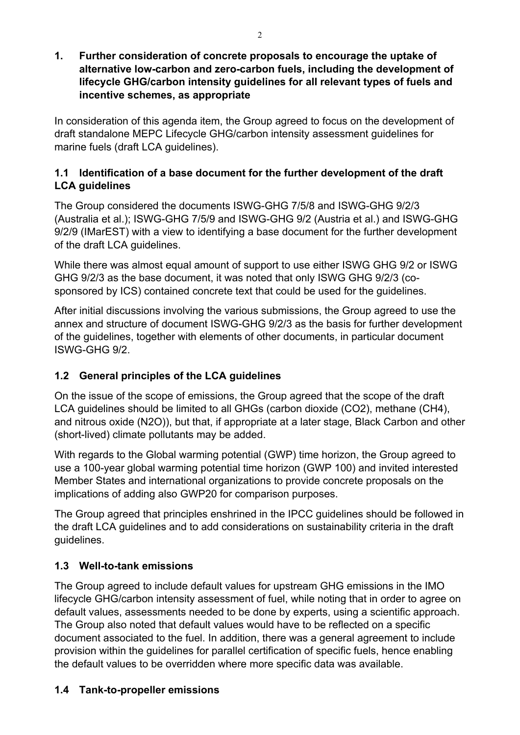**1. Further consideration of concrete proposals to encourage the uptake of alternative low-carbon and zero-carbon fuels, including the development of lifecycle GHG/carbon intensity guidelines for all relevant types of fuels and incentive schemes, as appropriate**

In consideration of this agenda item, the Group agreed to focus on the development of draft standalone MEPC Lifecycle GHG/carbon intensity assessment guidelines for marine fuels (draft LCA guidelines).

## **1.1 Identification of a base document for the further development of the draft LCA guidelines**

The Group considered the documents ISWG-GHG 7/5/8 and ISWG-GHG 9/2/3 (Australia et al.); ISWG-GHG 7/5/9 and ISWG-GHG 9/2 (Austria et al.) and ISWG-GHG 9/2/9 (IMarEST) with a view to identifying a base document for the further development of the draft LCA guidelines.

While there was almost equal amount of support to use either ISWG GHG 9/2 or ISWG GHG 9/2/3 as the base document, it was noted that only ISWG GHG 9/2/3 (cosponsored by ICS) contained concrete text that could be used for the guidelines.

After initial discussions involving the various submissions, the Group agreed to use the annex and structure of document ISWG-GHG 9/2/3 as the basis for further development of the guidelines, together with elements of other documents, in particular document ISWG-GHG 9/2.

# **1.2 General principles of the LCA guidelines**

On the issue of the scope of emissions, the Group agreed that the scope of the draft LCA guidelines should be limited to all GHGs (carbon dioxide (CO2), methane (CH4), and nitrous oxide (N2O)), but that, if appropriate at a later stage, Black Carbon and other (short-lived) climate pollutants may be added.

With regards to the Global warming potential (GWP) time horizon, the Group agreed to use a 100-year global warming potential time horizon (GWP 100) and invited interested Member States and international organizations to provide concrete proposals on the implications of adding also GWP20 for comparison purposes.

The Group agreed that principles enshrined in the IPCC guidelines should be followed in the draft LCA guidelines and to add considerations on sustainability criteria in the draft guidelines.

# **1.3 Well-to-tank emissions**

The Group agreed to include default values for upstream GHG emissions in the IMO lifecycle GHG/carbon intensity assessment of fuel, while noting that in order to agree on default values, assessments needed to be done by experts, using a scientific approach. The Group also noted that default values would have to be reflected on a specific document associated to the fuel. In addition, there was a general agreement to include provision within the guidelines for parallel certification of specific fuels, hence enabling the default values to be overridden where more specific data was available.

# **1.4 Tank-to-propeller emissions**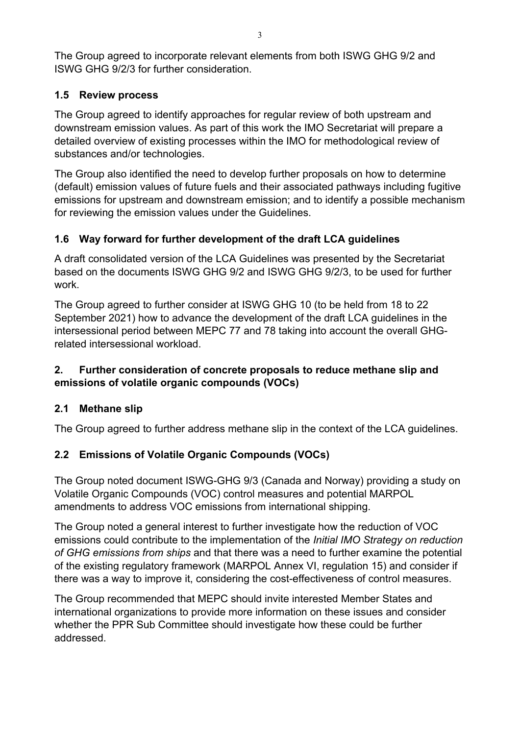The Group agreed to incorporate relevant elements from both ISWG GHG 9/2 and ISWG GHG 9/2/3 for further consideration.

## **1.5 Review process**

The Group agreed to identify approaches for regular review of both upstream and downstream emission values. As part of this work the IMO Secretariat will prepare a detailed overview of existing processes within the IMO for methodological review of substances and/or technologies.

The Group also identified the need to develop further proposals on how to determine (default) emission values of future fuels and their associated pathways including fugitive emissions for upstream and downstream emission; and to identify a possible mechanism for reviewing the emission values under the Guidelines.

## **1.6 Way forward for further development of the draft LCA guidelines**

A draft consolidated version of the LCA Guidelines was presented by the Secretariat based on the documents ISWG GHG 9/2 and ISWG GHG 9/2/3, to be used for further work.

The Group agreed to further consider at ISWG GHG 10 (to be held from 18 to 22 September 2021) how to advance the development of the draft LCA guidelines in the intersessional period between MEPC 77 and 78 taking into account the overall GHGrelated intersessional workload.

## **2. Further consideration of concrete proposals to reduce methane slip and emissions of volatile organic compounds (VOCs)**

## **2.1 Methane slip**

The Group agreed to further address methane slip in the context of the LCA guidelines.

## **2.2 Emissions of Volatile Organic Compounds (VOCs)**

The Group noted document ISWG-GHG 9/3 (Canada and Norway) providing a study on Volatile Organic Compounds (VOC) control measures and potential MARPOL amendments to address VOC emissions from international shipping.

The Group noted a general interest to further investigate how the reduction of VOC emissions could contribute to the implementation of the *Initial IMO Strategy on reduction of GHG emissions from ships* and that there was a need to further examine the potential of the existing regulatory framework (MARPOL Annex VI, regulation 15) and consider if there was a way to improve it, considering the cost-effectiveness of control measures.

The Group recommended that MEPC should invite interested Member States and international organizations to provide more information on these issues and consider whether the PPR Sub Committee should investigate how these could be further addressed.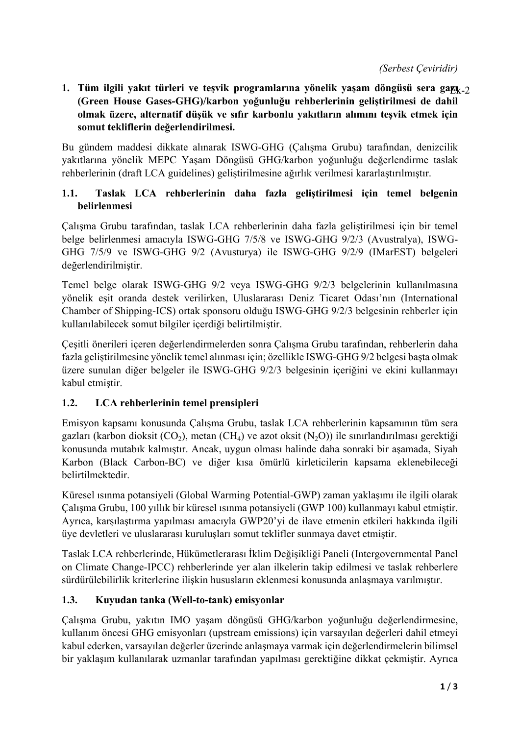*(Serbest Çeviridir)*

**1. Tüm ilgili yakıt türleri ve teşvik programlarına yönelik yaşam döngüsü sera gazı** Ek-2**(Green House Gases-GHG)/karbon yoğunluğu rehberlerinin geliştirilmesi de dahil olmak üzere, alternatif düşük ve sıfır karbonlu yakıtların alımını teşvik etmek için somut tekliflerin değerlendirilmesi.**

Bu gündem maddesi dikkate alınarak ISWG-GHG (Çalışma Grubu) tarafından, denizcilik yakıtlarına yönelik MEPC Yaşam Döngüsü GHG/karbon yoğunluğu değerlendirme taslak rehberlerinin (draft LCA guidelines) geliştirilmesine ağırlık verilmesi kararlaştırılmıştır.

### **1.1. Taslak LCA rehberlerinin daha fazla geliştirilmesi için temel belgenin belirlenmesi**

Çalışma Grubu tarafından, taslak LCA rehberlerinin daha fazla geliştirilmesi için bir temel belge belirlenmesi amacıyla ISWG-GHG 7/5/8 ve ISWG-GHG 9/2/3 (Avustralya), ISWG-GHG 7/5/9 ve ISWG-GHG 9/2 (Avusturya) ile ISWG-GHG 9/2/9 (IMarEST) belgeleri değerlendirilmiştir.

Temel belge olarak ISWG-GHG 9/2 veya ISWG-GHG 9/2/3 belgelerinin kullanılmasına yönelik eşit oranda destek verilirken, Uluslararası Deniz Ticaret Odası'nın (International Chamber of Shipping-ICS) ortak sponsoru olduğu ISWG-GHG 9/2/3 belgesinin rehberler için kullanılabilecek somut bilgiler içerdiği belirtilmiştir.

Çeşitli önerileri içeren değerlendirmelerden sonra Çalışma Grubu tarafından, rehberlerin daha fazla geliştirilmesine yönelik temel alınması için; özellikle ISWG-GHG 9/2 belgesi başta olmak üzere sunulan diğer belgeler ile ISWG-GHG 9/2/3 belgesinin içeriğini ve ekini kullanmayı kabul etmiştir.

### **1.2. LCA rehberlerinin temel prensipleri**

Emisyon kapsamı konusunda Çalışma Grubu, taslak LCA rehberlerinin kapsamının tüm sera gazları (karbon dioksit  $(CO_2)$ , metan  $(CH_4)$  ve azot oksit  $(N_2O)$ ) ile sınırlandırılması gerektiği konusunda mutabık kalmıştır. Ancak, uygun olması halinde daha sonraki bir aşamada, Siyah Karbon (Black Carbon-BC) ve diğer kısa ömürlü kirleticilerin kapsama eklenebileceği belirtilmektedir.

Küresel ısınma potansiyeli (Global Warming Potential-GWP) zaman yaklaşımı ile ilgili olarak Çalışma Grubu, 100 yıllık bir küresel ısınma potansiyeli (GWP 100) kullanmayı kabul etmiştir. Ayrıca, karşılaştırma yapılması amacıyla GWP20'yi de ilave etmenin etkileri hakkında ilgili üye devletleri ve uluslararası kuruluşları somut teklifler sunmaya davet etmiştir.

Taslak LCA rehberlerinde, Hükümetlerarası İklim Değişikliği Paneli (Intergovernmental Panel on Climate Change-IPCC) rehberlerinde yer alan ilkelerin takip edilmesi ve taslak rehberlere sürdürülebilirlik kriterlerine ilişkin hususların eklenmesi konusunda anlaşmaya varılmıştır.

### **1.3. Kuyudan tanka (Well-to-tank) emisyonlar**

Çalışma Grubu, yakıtın IMO yaşam döngüsü GHG/karbon yoğunluğu değerlendirmesine, kullanım öncesi GHG emisyonları (upstream emissions) için varsayılan değerleri dahil etmeyi kabul ederken, varsayılan değerler üzerinde anlaşmaya varmak için değerlendirmelerin bilimsel bir yaklaşım kullanılarak uzmanlar tarafından yapılması gerektiğine dikkat çekmiştir. Ayrıca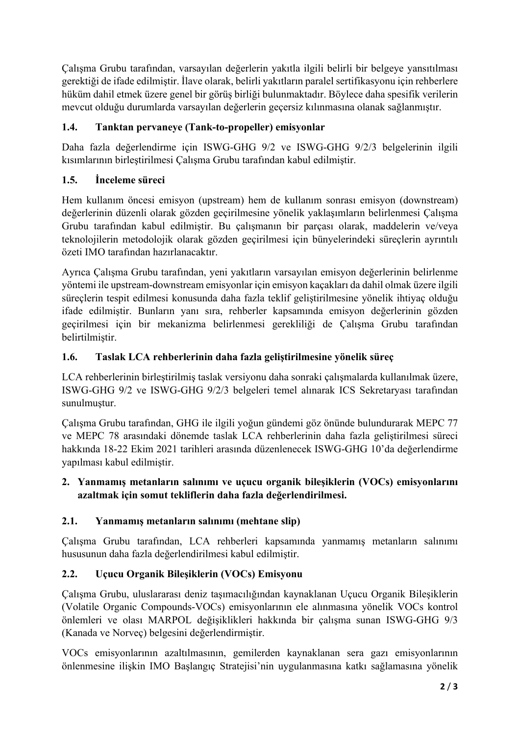Çalışma Grubu tarafından, varsayılan değerlerin yakıtla ilgili belirli bir belgeye yansıtılması gerektiği de ifade edilmiştir. İlave olarak, belirli yakıtların paralel sertifikasyonu için rehberlere hüküm dahil etmek üzere genel bir görüş birliği bulunmaktadır. Böylece daha spesifik verilerin mevcut olduğu durumlarda varsayılan değerlerin geçersiz kılınmasına olanak sağlanmıştır.

## **1.4. Tanktan pervaneye (Tank-to-propeller) emisyonlar**

Daha fazla değerlendirme için ISWG-GHG 9/2 ve ISWG-GHG 9/2/3 belgelerinin ilgili kısımlarının birleştirilmesi Çalışma Grubu tarafından kabul edilmiştir.

## **1.5. İnceleme süreci**

Hem kullanım öncesi emisyon (upstream) hem de kullanım sonrası emisyon (downstream) değerlerinin düzenli olarak gözden geçirilmesine yönelik yaklaşımların belirlenmesi Çalışma Grubu tarafından kabul edilmiştir. Bu çalışmanın bir parçası olarak, maddelerin ve/veya teknolojilerin metodolojik olarak gözden geçirilmesi için bünyelerindeki süreçlerin ayrıntılı özeti IMO tarafından hazırlanacaktır.

Ayrıca Çalışma Grubu tarafından, yeni yakıtların varsayılan emisyon değerlerinin belirlenme yöntemi ile upstream-downstream emisyonlar için emisyon kaçakları da dahil olmak üzere ilgili süreçlerin tespit edilmesi konusunda daha fazla teklif geliştirilmesine yönelik ihtiyaç olduğu ifade edilmiştir. Bunların yanı sıra, rehberler kapsamında emisyon değerlerinin gözden geçirilmesi için bir mekanizma belirlenmesi gerekliliği de Çalışma Grubu tarafından belirtilmiştir.

## **1.6. Taslak LCA rehberlerinin daha fazla geliştirilmesine yönelik süreç**

LCA rehberlerinin birleştirilmiş taslak versiyonu daha sonraki çalışmalarda kullanılmak üzere, ISWG-GHG 9/2 ve ISWG-GHG 9/2/3 belgeleri temel alınarak ICS Sekretaryası tarafından sunulmuştur.

Çalışma Grubu tarafından, GHG ile ilgili yoğun gündemi göz önünde bulundurarak MEPC 77 ve MEPC 78 arasındaki dönemde taslak LCA rehberlerinin daha fazla geliştirilmesi süreci hakkında 18-22 Ekim 2021 tarihleri arasında düzenlenecek ISWG-GHG 10'da değerlendirme yapılması kabul edilmiştir.

### **2. Yanmamış metanların salınımı ve uçucu organik bileşiklerin (VOCs) emisyonlarını azaltmak için somut tekliflerin daha fazla değerlendirilmesi.**

### **2.1. Yanmamış metanların salınımı (mehtane slip)**

Çalışma Grubu tarafından, LCA rehberleri kapsamında yanmamış metanların salınımı hususunun daha fazla değerlendirilmesi kabul edilmiştir.

## **2.2. Uçucu Organik Bileşiklerin (VOCs) Emisyonu**

Çalışma Grubu, uluslararası deniz taşımacılığından kaynaklanan Uçucu Organik Bileşiklerin (Volatile Organic Compounds-VOCs) emisyonlarının ele alınmasına yönelik VOCs kontrol önlemleri ve olası MARPOL değişiklikleri hakkında bir çalışma sunan ISWG-GHG 9/3 (Kanada ve Norveç) belgesini değerlendirmiştir.

VOCs emisyonlarının azaltılmasının, gemilerden kaynaklanan sera gazı emisyonlarının önlenmesine ilişkin IMO Başlangıç Stratejisi'nin uygulanmasına katkı sağlamasına yönelik